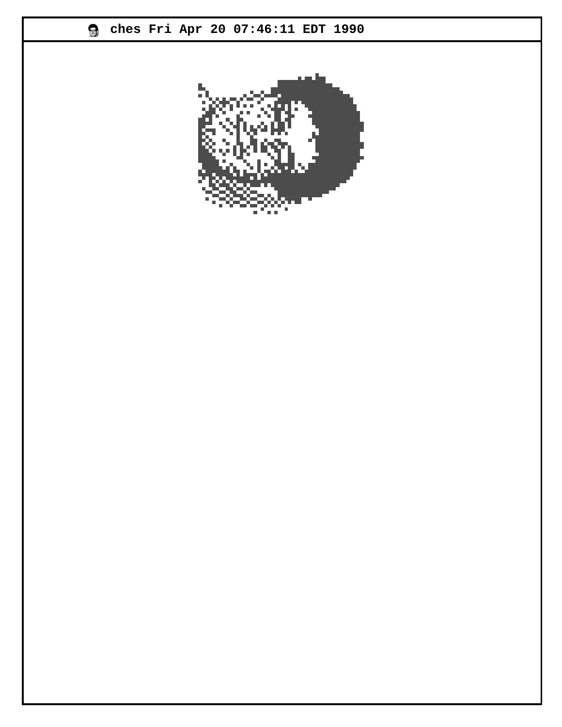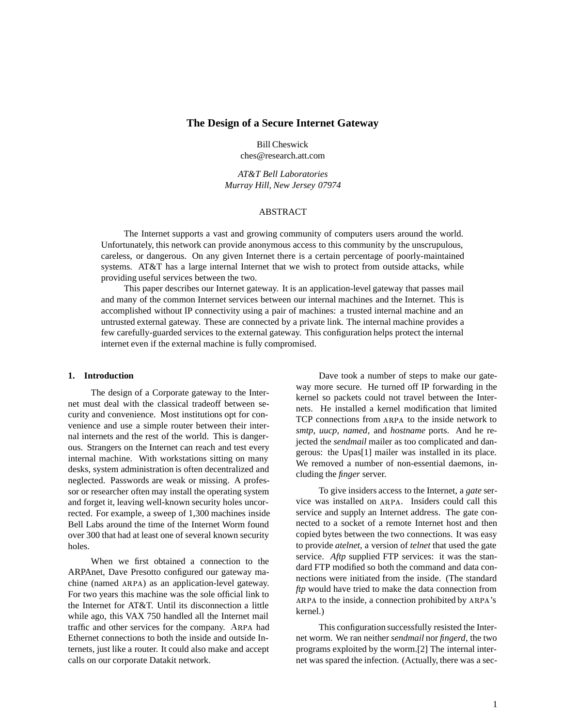## **The Design of a Secure Internet Gateway**

Bill Cheswick ches@research.att.com

*AT&T Bell Laboratories Murray Hill, New Jersey 07974*

## ABSTRACT

The Internet supports a vast and growing community of computers users around the world. Unfortunately, this network can provide anonymous access to this community by the unscrupulous, careless, or dangerous. On any given Internet there is a certain percentage of poorly-maintained systems. AT&T has a large internal Internet that we wish to protect from outside attacks, while providing useful services between the two.

This paper describes our Internet gateway. It is an application-level gateway that passes mail and many of the common Internet services between our internal machines and the Internet. This is accomplished without IP connectivity using a pair of machines: a trusted internal machine and an untrusted external gateway. These are connected by a private link. The internal machine provides a few carefully-guarded services to the external gateway. This configuration helps protect the internal internet even if the external machine is fully compromised.

#### **1. Introduction**

The design of a Corporate gateway to the Internet must deal with the classical tradeoff between security and convenience. Most institutions opt for convenience and use a simple router between their internal internets and the rest of the world. This is dangerous. Strangers on the Internet can reach and test every internal machine. With workstations sitting on many desks, system administration is often decentralized and neglected. Passwords are weak or missing. A professor or researcher often may install the operating system and forget it, leaving well-known security holes uncorrected. For example, a sweep of 1,300 machines inside Bell Labs around the time of the Internet Worm found over 300 that had at least one of several known security holes.

When we first obtained a connection to the ARPAnet, Dave Presotto configured our gateway machine (named ARPA) as an application-level gateway. For two years this machine was the sole official link to the Internet for AT&T. Until its disconnection a little while ago, this VAX 750 handled all the Internet mail traffic and other services for the company. ARPA had Ethernet connections to both the inside and outside Internets, just like a router. It could also make and accept calls on our corporate Datakit network.

Dave took a number of steps to make our gateway more secure. He turned off IP forwarding in the kernel so packets could not travel between the Internets. He installed a kernel modification that limited TCP connections from ARPA to the inside network to *smtp*, *uucp*, *named*, and *hostname* ports. And he rejected the *sendmail* mailer as too complicated and dangerous: the Upas[1] mailer was installed in its place. We removed a number of non-essential daemons, including the *finger* server.

To give insiders access to the Internet, a *gate* service was installed on ARPA. Insiders could call this service and supply an Internet address. The gate connected to a socket of a remote Internet host and then copied bytes between the two connections. It was easy to provide *atelnet*, a version of *telnet* that used the gate service. *Aftp* supplied FTP services: it was the standard FTP modified so both the command and data connections were initiated from the inside. (The standard *ftp* would have tried to make the data connection from ARPA to the inside, a connection prohibited by ARPA's kernel.)

This configuration successfully resisted the Internet worm. We ran neither *sendmail* nor *fingerd*, the two programs exploited by the worm.[2] The internal internet was spared the infection. (Actually, there was a sec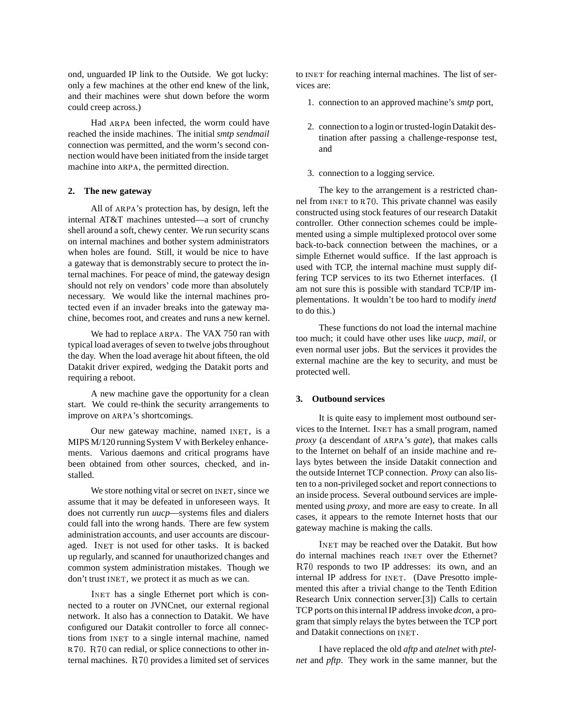ond, unguarded IP link to the Outside. We got lucky: only a few machines at the other end knew of the link, and their machines were shut down before the worm could creep across.)

Had ARPA been infected, the worm could have reached the inside machines. The initial *smtp sendmail* connection was permitted, and the worm's second connection would have been initiated from the inside target machine into ARPA, the permitted direction.

### **2. The new gateway**

All of ARPA's protection has, by design, left the internal AT&T machines untested—a sort of crunchy shell around a soft, chewy center. We run security scans on internal machines and bother system administrators when holes are found. Still, it would be nice to have a gateway that is demonstrably secure to protect the internal machines. For peace of mind, the gateway design should not rely on vendors' code more than absolutely necessary. We would like the internal machines protected even if an invader breaks into the gateway machine, becomes root, and creates and runs a new kernel.

We had to replace ARPA. The VAX 750 ran with typical load averages of seven to twelve jobs throughout the day. When the load average hit about fifteen, the old Datakit driver expired, wedging the Datakit ports and requiring a reboot.

A new machine gave the opportunity for a clean start. We could re-think the security arrangements to improve on ARPA's shortcomings.

Our new gateway machine, named INET, is a MIPS M/120 running System V with Berkeley enhancements. Various daemons and critical programs have been obtained from other sources, checked, and installed.

We store nothing vital or secret on INET, since we assume that it may be defeated in unforeseen ways. It does not currently run *uucp*—systems files and dialers could fall into the wrong hands. There are few system administration accounts, and user accounts are discouraged. INET is not used for other tasks. It is backed up regularly, and scanned for unauthorized changes and common system administration mistakes. Though we don't trust INET, we protect it as much as we can.

INET has a single Ethernet port which is connected to a router on JVNCnet, our external regional network. It also has a connection to Datakit. We have configured our Datakit controller to force all connections from INET to a single internal machine, named  $R70. R70$  can redial, or splice connections to other internal machines.  $R70$  provides a limited set of services

to INET for reaching internal machines. The list of services are:

- 1. connection to an approved machine's *smtp* port,
- 2. connection to a login or trusted-loginDatakit destination after passing a challenge-response test, and
- 3. connection to a logging service.

The key to the arrangement is a restricted channel from  $INET$  to  $R70$ . This private channel was easily constructed using stock features of our research Datakit controller. Other connection schemes could be implemented using a simple multiplexed protocol over some back-to-back connection between the machines, or a simple Ethernet would suffice. If the last approach is used with TCP, the internal machine must supply differing TCP services to its two Ethernet interfaces. (I am not sure this is possible with standard TCP/IP implementations. It wouldn't be too hard to modify *inetd* to do this.)

These functions do not load the internal machine too much; it could have other uses like *uucp*, *mail*, or even normal user jobs. But the services it provides the external machine are the key to security, and must be protected well.

#### **3. Outbound services**

It is quite easy to implement most outbound services to the Internet. INET has a small program, named proxy (a descendant of ARPA's *gate*), that makes calls to the Internet on behalf of an inside machine and relays bytes between the inside Datakit connection and the outside Internet TCP connection. *Proxy* can also listen to a non-privileged socket and report connections to an inside process. Several outbound services are implemented using *proxy*, and more are easy to create. In all cases, it appears to the remote Internet hosts that our gateway machine is making the calls.

INET may be reached over the Datakit. But how do internal machines reach INET over the Ethernet? R70 responds to two IP addresses: its own, and an internal IP address for INET. (Dave Presotto implemented this after a trivial change to the Tenth Edition Research Unix connection server.[3]) Calls to certain TCP ports on this internal IP address invoke *dcon*, a program that simply relays the bytes between the TCP port and Datakit connections on INET.

I have replaced the old *aftp* and *atelnet* with *ptelnet* and *pftp*. They work in the same manner, but the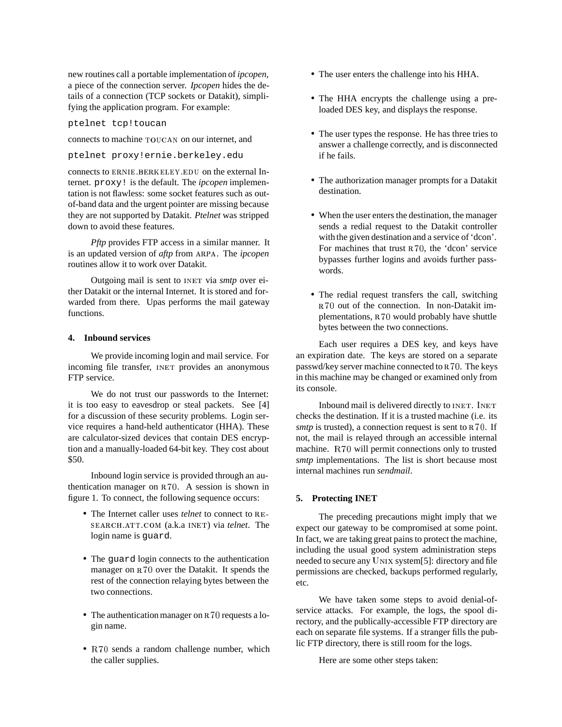new routines call a portable implementation of *ipcopen*, a piece of the connection server. *Ipcopen* hides the details of a connection (TCP sockets or Datakit), simplifying the application program. For example:

ptelnet tcp!toucan

connects to machine TOUCAN on our internet, and

ptelnet proxy!ernie.berkeley.edu

connects to ERNIE. BERKELEY. EDU on the external Internet. proxy! is the default. The *ipcopen* implementation is not flawless: some socket features such as outof-band data and the urgent pointer are missing because they are not supported by Datakit. *Ptelnet* was stripped down to avoid these features.

*Pftp* provides FTP access in a similar manner. It is an updated version of *aftp* from ARPA. The *ipcopen* routines allow it to work over Datakit.

Outgoing mail is sent to INET via *smtp* over either Datakit or the internal Internet. It is stored and forwarded from there. Upas performs the mail gateway functions.

## **4. Inbound services**

We provide incoming login and mail service. For incoming file transfer, INET provides an anonymous FTP service.

We do not trust our passwords to the Internet: it is too easy to eavesdrop or steal packets. See [4] for a discussion of these security problems. Login service requires a hand-held authenticator (HHA). These are calculator-sized devices that contain DES encryption and a manually-loaded 64-bit key. They cost about \$50.

Inbound login service is provided through an authentication manager on  $R70$ . A session is shown in figure 1. To connect, the following sequence occurs:

- The Internet caller uses *telnet* to connect to RE-SEARCH ATT COM (a.k.a INET) via *telnet*. The login name is guard.
- The guard login connects to the authentication manager on  $R70$  over the Datakit. It spends the rest of the connection relaying bytes between the two connections.
- The authentication manager on  $R70$  requests a login name.
- $\bullet$  R70 sends a random challenge number, which the caller supplies.
- The user enters the challenge into his HHA.
- The HHA encrypts the challenge using a preloaded DES key, and displays the response.
- The user types the response. He has three tries to answer a challenge correctly, and is disconnected if he fails.
- The authorization manager prompts for a Datakit destination.
- When the user enters the destination, the manager sends a redial request to the Datakit controller with the given destination and a service of 'dcon'. For machines that trust  $R70$ , the 'dcon' service bypasses further logins and avoids further passwords.
- The redial request transfers the call, switching R70 out of the connection. In non-Datakit implementations, R70 would probably have shuttle bytes between the two connections.

Each user requires a DES key, and keys have an expiration date. The keys are stored on a separate passwd/key server machine connected to R70. The keys in this machine may be changed or examined only from its console.

Inbound mail is delivered directly to INET. INET checks the destination. If it is a trusted machine (i.e. its *smtp* is trusted), a connection request is sent to R70. If not, the mail is relayed through an accessible internal machine. R70 will permit connections only to trusted *smtp* implementations. The list is short because most internal machines run *sendmail*.

### **5. Protecting INET**

The preceding precautions might imply that we expect our gateway to be compromised at some point. In fact, we are taking great pains to protect the machine, including the usual good system administration steps needed to secure any UNIX system[5]: directory and file permissions are checked, backups performed regularly, etc.

We have taken some steps to avoid denial-ofservice attacks. For example, the logs, the spool directory, and the publically-accessible FTP directory are each on separate file systems. If a stranger fills the public FTP directory, there is still room for the logs.

Here are some other steps taken: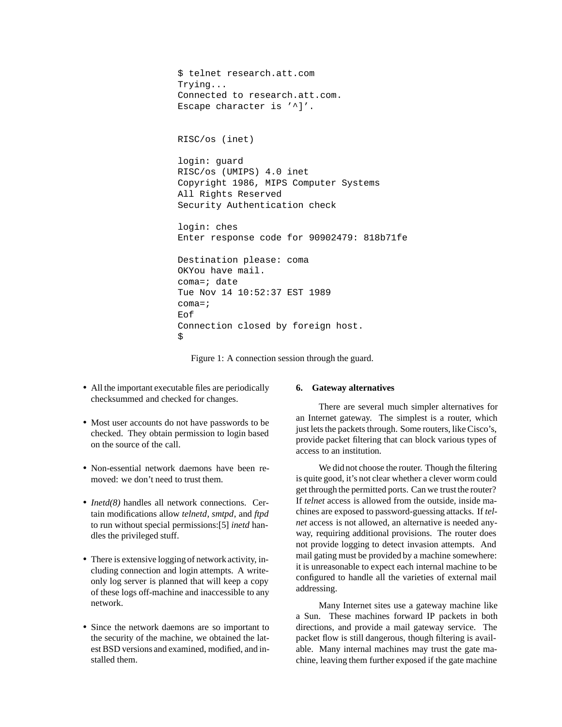```
$ telnet research.att.com
Trying...
Connected to research.att.com.
Escape character is '^]'.
RISC/os (inet)
login: guard
RISC/os (UMIPS) 4.0 inet
Copyright 1986, MIPS Computer Systems
All Rights Reserved
Security Authentication check
login: ches
Enter response code for 90902479: 818b71fe
Destination please: coma
OKYou have mail.
coma=; date
Tue Nov 14 10:52:37 EST 1989
coma = jEof
Connection closed by foreign host.
\ddot{\rm S}
```
Figure 1: A connection session through the guard.

- All the important executable files are periodically checksummed and checked for changes.
- Most user accounts do not have passwords to be checked. They obtain permission to login based on the source of the call.
- Non-essential network daemons have been removed: we don't need to trust them.
- *Inetd(8)* handles all network connections. Certain modifications allow *telnetd*, *smtpd*, and *ftpd* to run without special permissions:[5] *inetd* handles the privileged stuff.
- There is extensive logging of network activity, including connection and login attempts. A writeonly log server is planned that will keep a copy of these logs off-machine and inaccessible to any network.
- Since the network daemons are so important to the security of the machine, we obtained the latest BSD versions and examined, modified, and installed them.

# **6. Gateway alternatives**

There are several much simpler alternatives for an Internet gateway. The simplest is a router, which just lets the packets through. Some routers, like Cisco's, provide packet filtering that can block various types of access to an institution.

We did not choose the router. Though the filtering is quite good, it's not clear whether a clever worm could get through the permitted ports. Can we trust the router? If *telnet* access is allowed from the outside, inside machines are exposed to password-guessing attacks. If *telnet* access is not allowed, an alternative is needed anyway, requiring additional provisions. The router does not provide logging to detect invasion attempts. And mail gating must be provided by a machine somewhere: it is unreasonable to expect each internal machine to be configured to handle all the varieties of external mail addressing.

Many Internet sites use a gateway machine like a Sun. These machines forward IP packets in both directions, and provide a mail gateway service. The packet flow is still dangerous, though filtering is available. Many internal machines may trust the gate machine, leaving them further exposed if the gate machine